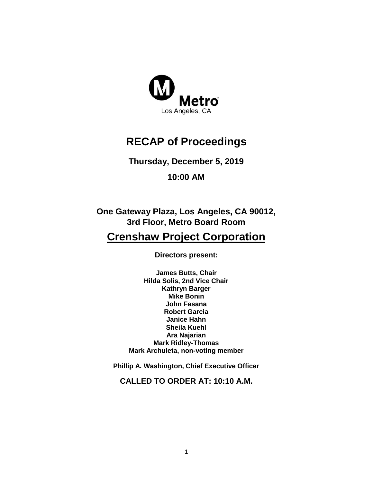

# **RECAP of Proceedings**

## **Thursday, December 5, 2019**

**10:00 AM**

**One Gateway Plaza, Los Angeles, CA 90012, 3rd Floor, Metro Board Room**

## **Crenshaw Project Corporation**

**Directors present:**

**James Butts, Chair Hilda Solis, 2nd Vice Chair Kathryn Barger Mike Bonin John Fasana Robert Garcia Janice Hahn Sheila Kuehl Ara Najarian Mark Ridley-Thomas Mark Archuleta, non-voting member**

**Phillip A. Washington, Chief Executive Officer**

**CALLED TO ORDER AT: 10:10 A.M.**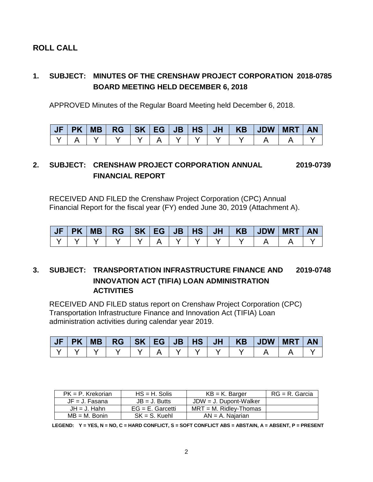### **ROLL CALL**

### **1. SUBJECT: MINUTES OF THE CRENSHAW PROJECT CORPORATION 2018-0785 BOARD MEETING HELD DECEMBER 6, 2018**

APPROVED Minutes of the Regular Board Meeting held December 6, 2018.

|  |  |  |  |  |  | <b>AN</b> |
|--|--|--|--|--|--|-----------|
|  |  |  |  |  |  |           |

### **2. SUBJECT: CRENSHAW PROJECT CORPORATION ANNUAL 2019-0739 FINANCIAL REPORT**

RECEIVED AND FILED the Crenshaw Project Corporation (CPC) Annual Financial Report for the fiscal year (FY) ended June 30, 2019 (Attachment A).

| <b>PK</b> | <b>MB</b> | $RG$ $SK$ $EG$ $\vert$ |  | $JB$   HS |  | JH   KB   JDW   MRT | <b>AN</b> |
|-----------|-----------|------------------------|--|-----------|--|---------------------|-----------|
|           |           |                        |  |           |  |                     |           |

#### **3. SUBJECT: TRANSPORTATION INFRASTRUCTURE FINANCE AND 2019-0748 INNOVATION ACT (TIFIA) LOAN ADMINISTRATION ACTIVITIES**

RECEIVED AND FILED status report on Crenshaw Project Corporation (CPC) Transportation Infrastructure Finance and Innovation Act (TIFIA) Loan administration activities during calendar year 2019.

|  |  |  |  |  | JF PK MB  RG  SK EG JB HS JH   KB  JDW MRT AN |  |
|--|--|--|--|--|-----------------------------------------------|--|
|  |  |  |  |  |                                               |  |

| $PK = P$ . Krekorian | $HS = H$ . Solis    | $KB = K$ . Barger         | $RG = R$ . Garcia |
|----------------------|---------------------|---------------------------|-------------------|
| $JF = J$ . Fasana    | $JB = J$ . Butts    | $JDW = J$ . Dupont-Walker |                   |
| $JH = J$ . Hahn      | $EG = E$ . Garcetti | $MRT = M$ . Ridlev-Thomas |                   |
| $MB = M$ . Bonin     | $SK = S$ . Kuehl    | $AN = A$ . Naiarian       |                   |

**LEGEND: Y = YES, N = NO, C = HARD CONFLICT, S = SOFT CONFLICT ABS = ABSTAIN, A = ABSENT, P = PRESENT**